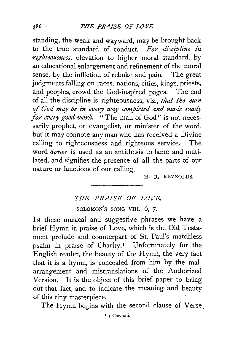standing, the weak and wayward, may be brought back to the true standard of conduct. *For discipline in righteousness,* elevation to higher moral standard, by an educational enlargement and refinement of the moral sense, by the infliction of rebuke and pain. The great judgments falling on races, nations, cities, kings, priests, and peoples, crowd the God-inspired pages. The end of all the discipline is righteousness, viz., *that the man*  of *God may be in every way completed and made ready for every good work.* "The man of God" is not necessarily prophet, or evangelist, or minister of the word, but it may connote any man who has received a Divine calling to righteousness and righteous service. The word  $d\rho\tau\omega s$  is used as an antithesis to lame and mutilated, and signifies the presence of all the parts of our nature or functions of our calling.

H. R. REYNOLDS.

## *THE PRAISE OF LOVE.*  SOLOMON'S SONG VIII. 6, 7.

In these musical and suggestive phrases we have a brief Hymn in praise of Love, which is the Old Testament prelude and counterpart of St. Paul's matchless psalm in praise of Charity.<sup>1</sup> Unfortunately for the English reader, the beauty of the Hymn, the very fact that it is a hymn, is concealed from him by the malarrangement and mistranslations of the Authorized Version. It is the object of this brief paper to bring out that fact, and to indicate the meaning and beauty of this tiny masterpiece.

The Hymn begins with the second clause of Verse.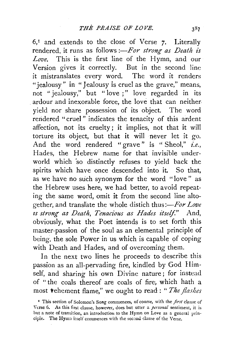6, 1 and extends to the close of Verse *7·* Literaily rendered, it runs as follows :- For strong as Death is *Love.* This is the first line of the Hymn, and our Version gives it correctly. But in the second line it mistranslates every word. The word it renders "jealousy" in "Jealousy is cruel as the grave," means, not "jealousy," but "love ;" love regarded in its ardour and inexorable force, the love that can neither. yield nor share possession of its object. The word rendered "cruel" indicates the tenacity of this ardent affection, not its cruelty; it implies, not that it will torture its object, but that it will never let it go. And the word rendered "grave" is " Sheol," *i.e.,*  Hades, the Hebrew name for that invisible underworld which 'so distinctly refuses to yield back the spirits which have once descended into it. So that, as we have no such synonym for the word "love" as the Hebrew uses here, we had better, to avoid repeating the same word, omit it from the second line altogether, and translate the whole distich thus:*-For Love zs strong as Death, Tenacious as Hades itself."* And, obviously, what the Poet intends is to set forth this master-passion of the soul as an elemental principle of being, the sole Power in us which is capable of coping with Death and Hades, and of overcoming them.

In the next two lines he proceeds to describe this passion as an all-pervading fire, kindled by God Himself, and sharing his own Divine nature; for instead of " the coals thereof are coals of fire;. which hath a most *vehement flame*," we ought to read: " The flashes

<sup>&</sup>lt;sup>1</sup> This section of Solomon's Song commences, of course, with the *first* clause of Verse 6. As this first clause, however, does but utter a *personal* sentiment, it is but a note of transition, an introduction to the Hymn on Love as a general principle. The Hymn itself commences with the second clause of the Verse.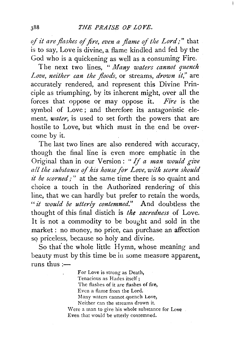*of it are flashes of fire, even a flame of the Lord;"* that is to say, Love is divine, a flame kindled and fed by the God who is a quickening as well as a consuming Fire.

The next two lines, " *Many waters cannot quench*  Love, neither can the floods, or streams, drown it," are accurately rendered, and represent this Divine Principle as triumphing, by its inherent might, over all the forces that oppose or may oppose it. *Fire* is the symbol of Love ; and therefore its antagonistic element, *water,* is used to set forth the powers that are hostile to Love, but which must in the end be overcome by it.

The last two lines are also rendered with accuracy, though the final line is even more emphatic in the Original than in our Version : " If *a man would give all the substance of his house for Love, with scorn should it be scorned;"* at the same time there is so quaint and choice a touch in the Authorized rendering of this line, that we can hardly but prefer to retain the words, *"it would be utterly contemned."* And doubtless the thought of this final distich is *the sacredness* of Love. It is not a commodity to be bought and sold in the market : no money, no price, can purchase an affection so priceless, because so holy and divine.

So that the whole little Hymn, whose meaning and beauty must by this time be in some measure apparent, runs thus: $-$ 

> For Love is strong as Death, Tenacious as Hades itself; The flashes of it are flashes of fire, Even a flame from the Lord. Many waters cannot.quench Love, Neither can the streams drown it. Were a man to give his whole substance for Love. Even that would be utterly contemned.